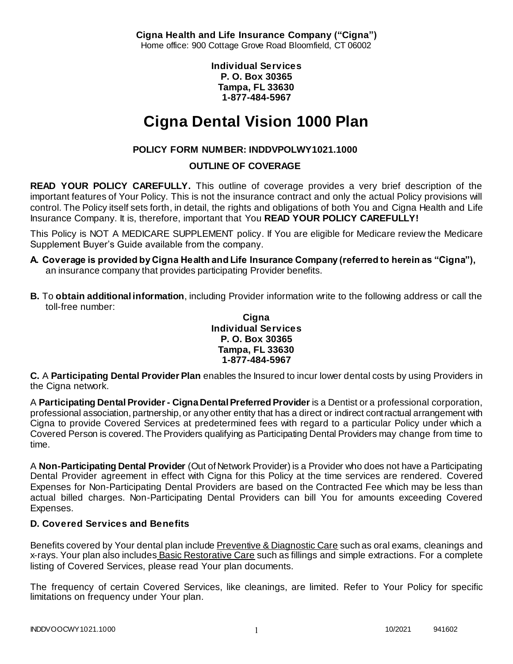**Cigna Health and Life Insurance Company ("Cigna")** Home office: 900 Cottage Grove Road Bloomfield, CT 06002

> **Individual Services P. O. Box 30365 Tampa, FL 33630 1-877-484-5967**

# **Cigna Dental Vision 1000 Plan**

# **POLICY FORM NUMBER: INDDVPOLWY1021.1000**

# **OUTLINE OF COVERAGE**

**READ YOUR POLICY CAREFULLY.** This outline of coverage provides a very brief description of the important features of Your Policy. This is not the insurance contract and only the actual Policy provisions will control. The Policy itself sets forth, in detail, the rights and obligations of both You and Cigna Health and Life Insurance Company. It is, therefore, important that You **READ YOUR POLICY CAREFULLY!** 

This Policy is NOT A MEDICARE SUPPLEMENT policy. If You are eligible for Medicare review the Medicare Supplement Buyer's Guide available from the company.

- **A. Coverage is provided by Cigna Health and Life Insurance Company (referred to herein as "Cigna"),**  an insurance company that provides participating Provider benefits.
- **B.** To **obtain additional information**, including Provider information write to the following address or call the toll-free number:

#### **Cigna Individual Services P. O. Box 30365 Tampa, FL 33630 1-877-484-5967**

**C.** A **Participating Dental Provider Plan** enables the Insured to incur lower dental costs by using Providers in the Cigna network.

A **Participating Dental Provider - Cigna Dental Preferred Provider** is a Dentist or a professional corporation, professional association, partnership, or any other entity that has a direct or indirect contractual arrangement with Cigna to provide Covered Services at predetermined fees with regard to a particular Policy under which a Covered Person is covered. The Providers qualifying as Participating Dental Providers may change from time to time.

A **Non-Participating Dental Provider** (Out of Network Provider) is a Provider who does not have a Participating Dental Provider agreement in effect with Cigna for this Policy at the time services are rendered. Covered Expenses for Non-Participating Dental Providers are based on the Contracted Fee which may be less than actual billed charges. Non-Participating Dental Providers can bill You for amounts exceeding Covered Expenses.

# **D. Covered Services and Benefits**

Benefits covered by Your dental plan include Preventive & Diagnostic Care such as oral exams, cleanings and x-rays. Your plan also includes Basic Restorative Care such as fillings and simple extractions. For a complete listing of Covered Services, please read Your plan documents.

The frequency of certain Covered Services, like cleanings, are limited. Refer to Your Policy for specific limitations on frequency under Your plan.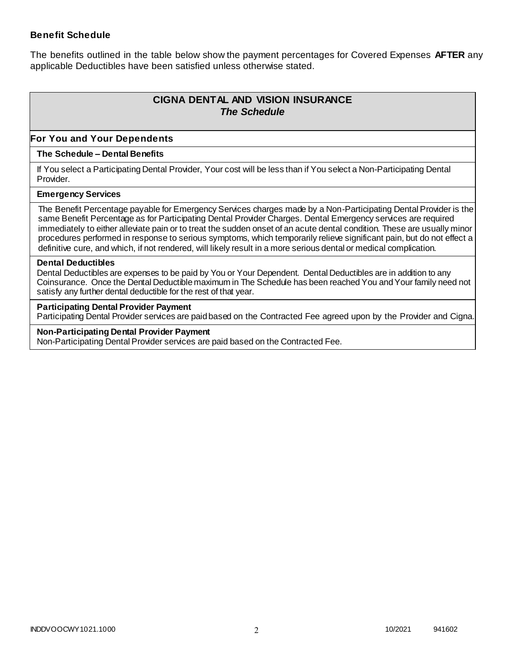### **Benefit Schedule**

The benefits outlined in the table below show the payment percentages for Covered Expenses **AFTER** any applicable Deductibles have been satisfied unless otherwise stated.

# **CIGNA DENTAL AND VISION INSURANCE** *The Schedule*

### **For You and Your Dependents**

#### **The Schedule – Dental Benefits**

If You select a Participating Dental Provider, Your cost will be less than if You select a Non-Participating Dental Provider.

#### **Emergency Services**

The Benefit Percentage payable for Emergency Services charges made by a Non-Participating Dental Provider is the same Benefit Percentage as for Participating Dental Provider Charges. Dental Emergency services are required immediately to either alleviate pain or to treat the sudden onset of an acute dental condition. These are usually minor procedures performed in response to serious symptoms, which temporarily relieve significant pain, but do not effect a definitive cure, and which, if not rendered, will likely result in a more serious dental or medical complication.

#### **Dental Deductibles**

Dental Deductibles are expenses to be paid by You or Your Dependent. Dental Deductibles are in addition to any Coinsurance. Once the Dental Deductible maximum in The Schedule has been reached You and Your family need not satisfy any further dental deductible for the rest of that year.

#### **Participating Dental Provider Payment**

Participating Dental Provider services are paid based on the Contracted Fee agreed upon by the Provider and Cigna.

**Non-Participating Dental Provider Payment** Non-Participating Dental Provider services are paid based on the Contracted Fee.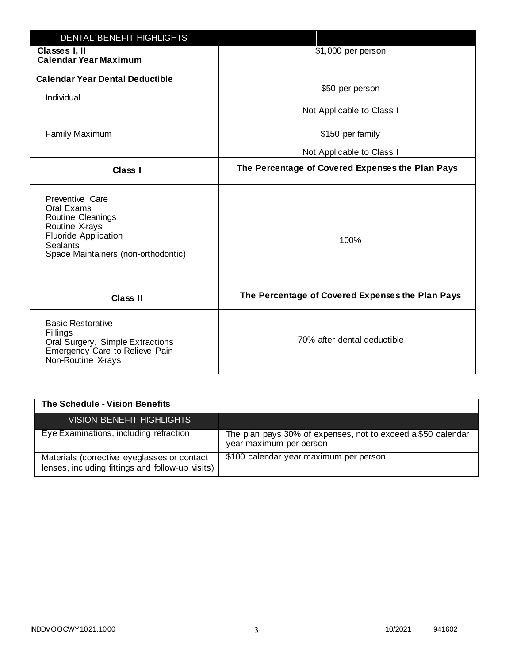| <b>DENTAL BENEFIT HIGHLIGHTS</b>                                                                                                                              |                                                  |
|---------------------------------------------------------------------------------------------------------------------------------------------------------------|--------------------------------------------------|
| Classes I, II<br><b>Calendar Year Maximum</b>                                                                                                                 | \$1,000 per person                               |
| <b>Calendar Year Dental Deductible</b><br>Individual                                                                                                          | \$50 per person                                  |
|                                                                                                                                                               | Not Applicable to Class I                        |
| <b>Family Maximum</b>                                                                                                                                         | \$150 per family                                 |
|                                                                                                                                                               | Not Applicable to Class I                        |
| <b>Class I</b>                                                                                                                                                | The Percentage of Covered Expenses the Plan Pays |
| Preventive Care<br>Oral Exams<br>Routine Cleanings<br>Routine X-rays<br><b>Fluoride Application</b><br><b>Sealants</b><br>Space Maintainers (non-orthodontic) | 100%                                             |
| <b>Class II</b>                                                                                                                                               | The Percentage of Covered Expenses the Plan Pays |
| <b>Basic Restorative</b><br>Fillings<br>Oral Surgery, Simple Extractions<br>Emergency Care to Relieve Pain<br>Non-Routine X-rays                              | 70% after dental deductible                      |

| The Schedule - Vision Benefits                                                                  |                                                                                         |
|-------------------------------------------------------------------------------------------------|-----------------------------------------------------------------------------------------|
| <b>VISION BENEFIT HIGHLIGHTS,</b>                                                               |                                                                                         |
| Eye Examinations, including refraction                                                          | The plan pays 30% of expenses, not to exceed a \$50 calendar<br>year maximum per person |
| Materials (corrective eyeglasses or contact<br>lenses, including fittings and follow-up visits) | \$100 calendar year maximum per person                                                  |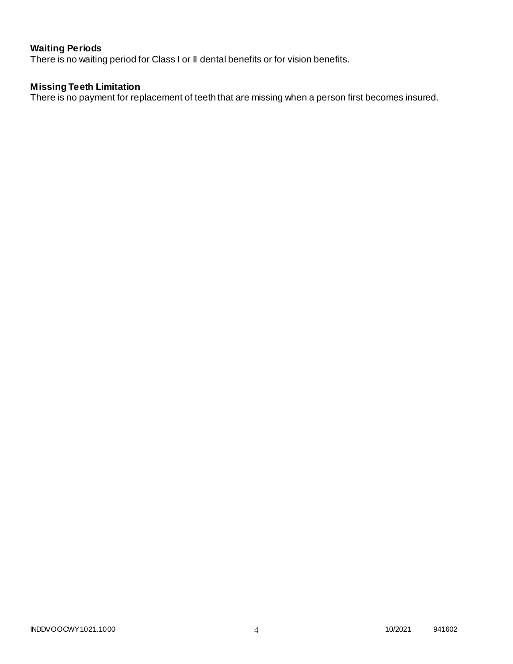# **Waiting Periods**

There is no waiting period for Class I or II dental benefits or for vision benefits.

### **Missing Teeth Limitation**

There is no payment for replacement of teeth that are missing when a person first becomes insured.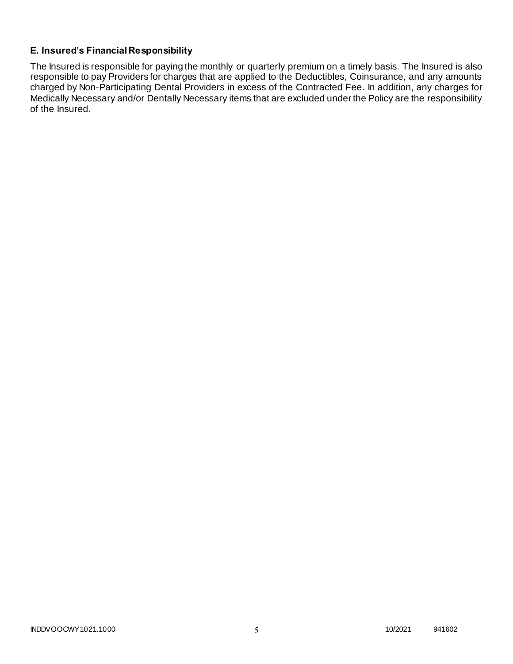## **E. Insured's Financial Responsibility**

The Insured is responsible for paying the monthly or quarterly premium on a timely basis. The Insured is also responsible to pay Providers for charges that are applied to the Deductibles, Coinsurance, and any amounts charged by Non-Participating Dental Providers in excess of the Contracted Fee. In addition, any charges for Medically Necessary and/or Dentally Necessary items that are excluded under the Policy are the responsibility of the Insured.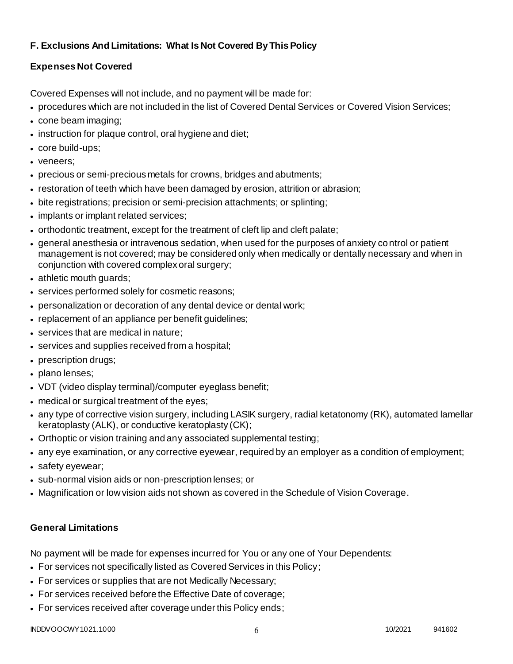# **F. Exclusions And Limitations: What Is Not Covered By This Policy**

# **Expenses Not Covered**

Covered Expenses will not include, and no payment will be made for:

- procedures which are not included in the list of Covered Dental Services or Covered Vision Services;
- cone beam imaging;
- instruction for plaque control, oral hygiene and diet;
- core build-ups;
- veneers;
- precious or semi-precious metals for crowns, bridges and abutments;
- restoration of teeth which have been damaged by erosion, attrition or abrasion;
- bite registrations; precision or semi-precision attachments; or splinting;
- implants or implant related services;
- orthodontic treatment, except for the treatment of cleft lip and cleft palate;
- general anesthesia or intravenous sedation, when used for the purposes of anxiety control or patient management is not covered; may be considered only when medically or dentally necessary and when in conjunction with covered complex oral surgery;
- athletic mouth guards;
- services performed solely for cosmetic reasons;
- personalization or decoration of any dental device or dental work;
- replacement of an appliance per benefit quidelines;
- services that are medical in nature;
- services and supplies received from a hospital;
- prescription drugs;
- plano lenses;
- VDT (video display terminal)/computer eyeglass benefit;
- medical or surgical treatment of the eyes;
- any type of corrective vision surgery, including LASIK surgery, radial ketatonomy (RK), automated lamellar keratoplasty (ALK), or conductive keratoplasty (CK);
- Orthoptic or vision training and any associated supplemental testing;
- any eye examination, or any corrective eyewear, required by an employer as a condition of employment;
- safety eyewear;
- sub-normal vision aids or non-prescription lenses; or
- Magnification or low vision aids not shown as covered in the Schedule of Vision Coverage.

# **General Limitations**

No payment will be made for expenses incurred for You or any one of Your Dependents:

- For services not specifically listed as Covered Services in this Policy;
- For services or supplies that are not Medically Necessary;
- For services received before the Effective Date of coverage;
- For services received after coverage under this Policy ends;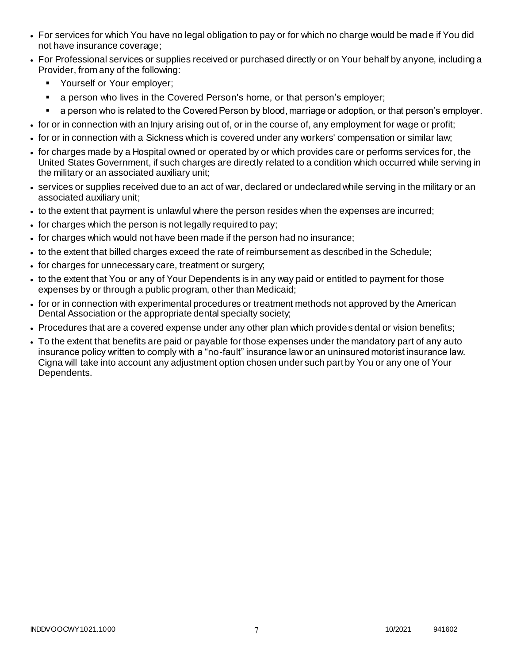- For services for which You have no legal obligation to pay or for which no charge would be mad e if You did not have insurance coverage;
- For Professional services or supplies received or purchased directly or on Your behalf by anyone, including a Provider, from any of the following:
	- **•** Yourself or Your employer;
	- a person who lives in the Covered Person's home, or that person's employer;
	- a person who is related to the Covered Person by blood, marriage or adoption, or that person's employer.
- for or in connection with an Injury arising out of, or in the course of, any employment for wage or profit;
- for or in connection with a Sickness which is covered under any workers' compensation or similar law;
- for charges made by a Hospital owned or operated by or which provides care or performs services for, the United States Government, if such charges are directly related to a condition which occurred while serving in the military or an associated auxiliary unit;
- services or supplies received due to an act of war, declared or undeclared while serving in the military or an associated auxiliary unit;
- to the extent that payment is unlawful where the person resides when the expenses are incurred;
- for charges which the person is not legally required to pay;
- for charges which would not have been made if the person had no insurance;
- to the extent that billed charges exceed the rate of reimbursement as described in the Schedule;
- for charges for unnecessary care, treatment or surgery;
- to the extent that You or any of Your Dependents is in any way paid or entitled to payment for those expenses by or through a public program, other than Medicaid;
- for or in connection with experimental procedures or treatment methods not approved by the American Dental Association or the appropriate dental specialty society;
- Procedures that are a covered expense under any other plan which provides dental or vision benefits;
- To the extent that benefits are paid or payable for those expenses under the mandatory part of any auto insurance policy written to comply with a "no-fault" insurance law or an uninsured motorist insurance law. Cigna will take into account any adjustment option chosen under such part by You or any one of Your Dependents.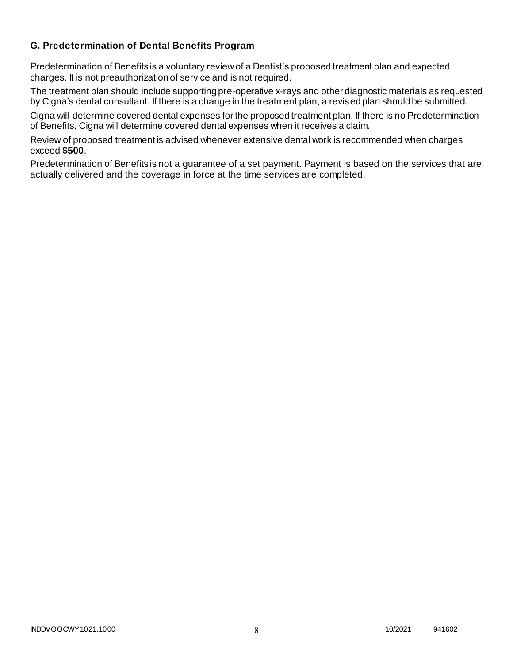### **G. Predetermination of Dental Benefits Program**

Predetermination of Benefits is a voluntary review of a Dentist's proposed treatment plan and expected charges. It is not preauthorization of service and is not required.

The treatment plan should include supporting pre-operative x-rays and other diagnostic materials as requested by Cigna's dental consultant. If there is a change in the treatment plan, a revised plan should be submitted.

Cigna will determine covered dental expenses for the proposed treatment plan. If there is no Predetermination of Benefits, Cigna will determine covered dental expenses when it receives a claim.

Review of proposed treatment is advised whenever extensive dental work is recommended when charges exceed **\$500**.

Predetermination of Benefits is not a guarantee of a set payment. Payment is based on the services that are actually delivered and the coverage in force at the time services are completed.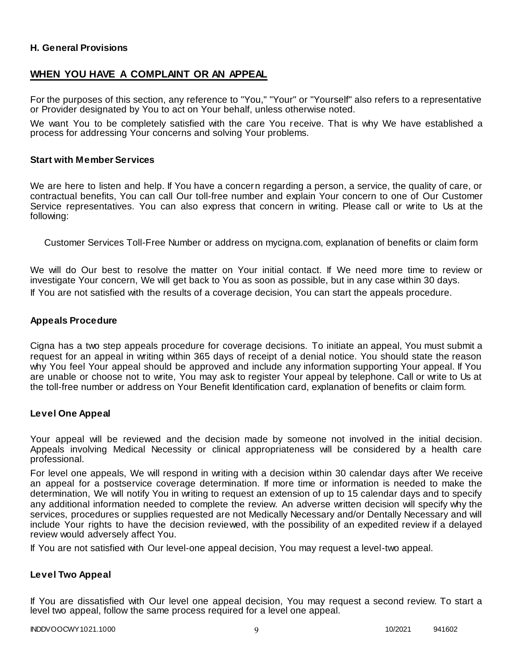### **H. General Provisions**

### **WHEN YOU HAVE A COMPLAINT OR AN APPEAL**

For the purposes of this section, any reference to "You," "Your" or "Yourself" also refers to a representative or Provider designated by You to act on Your behalf, unless otherwise noted.

We want You to be completely satisfied with the care You receive. That is why We have established a process for addressing Your concerns and solving Your problems.

#### **Start with Member Services**

We are here to listen and help. If You have a concern regarding a person, a service, the quality of care, or contractual benefits, You can call Our toll-free number and explain Your concern to one of Our Customer Service representatives. You can also express that concern in writing. Please call or write to Us at the following:

Customer Services Toll-Free Number or address on mycigna.com, explanation of benefits or claim form

We will do Our best to resolve the matter on Your initial contact. If We need more time to review or investigate Your concern, We will get back to You as soon as possible, but in any case within 30 days. If You are not satisfied with the results of a coverage decision, You can start the appeals procedure.

#### **Appeals Procedure**

Cigna has a two step appeals procedure for coverage decisions. To initiate an appeal, You must submit a request for an appeal in writing within 365 days of receipt of a denial notice. You should state the reason why You feel Your appeal should be approved and include any information supporting Your appeal. If You are unable or choose not to write, You may ask to register Your appeal by telephone. Call or write to Us at the toll-free number or address on Your Benefit Identification card, explanation of benefits or claim form.

#### **Level One Appeal**

Your appeal will be reviewed and the decision made by someone not involved in the initial decision. Appeals involving Medical Necessity or clinical appropriateness will be considered by a health care professional.

For level one appeals, We will respond in writing with a decision within 30 calendar days after We receive an appeal for a postservice coverage determination. If more time or information is needed to make the determination, We will notify You in writing to request an extension of up to 15 calendar days and to specify any additional information needed to complete the review. An adverse written decision will specify why the services, procedures or supplies requested are not Medically Necessary and/or Dentally Necessary and will include Your rights to have the decision reviewed, with the possibility of an expedited review if a delayed review would adversely affect You.

If You are not satisfied with Our level-one appeal decision, You may request a level-two appeal.

#### **Level Two Appeal**

If You are dissatisfied with Our level one appeal decision, You may request a second review. To start a level two appeal, follow the same process required for a level one appeal.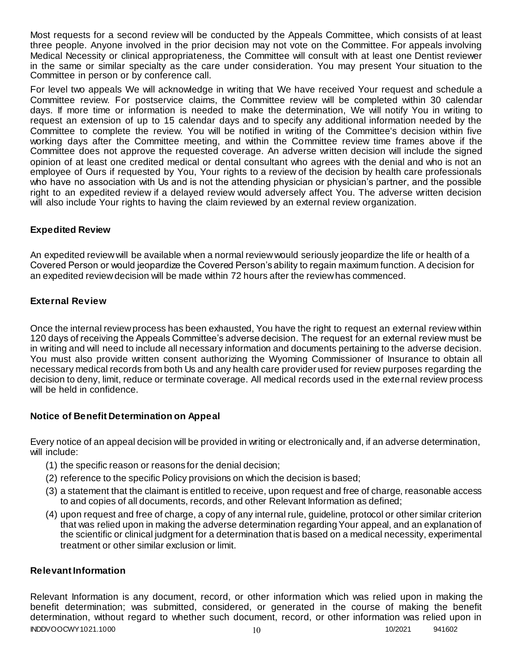Most requests for a second review will be conducted by the Appeals Committee, which consists of at least three people. Anyone involved in the prior decision may not vote on the Committee. For appeals involving Medical Necessity or clinical appropriateness, the Committee will consult with at least one Dentist reviewer in the same or similar specialty as the care under consideration. You may present Your situation to the Committee in person or by conference call.

For level two appeals We will acknowledge in writing that We have received Your request and schedule a Committee review. For postservice claims, the Committee review will be completed within 30 calendar days. If more time or information is needed to make the determination, We will notify You in writing to request an extension of up to 15 calendar days and to specify any additional information needed by the Committee to complete the review. You will be notified in writing of the Committee's decision within five working days after the Committee meeting, and within the Committee review time frames above if the Committee does not approve the requested coverage. An adverse written decision will include the signed opinion of at least one credited medical or dental consultant who agrees with the denial and who is not an employee of Ours if requested by You, Your rights to a review of the decision by health care professionals who have no association with Us and is not the attending physician or physician's partner, and the possible right to an expedited review if a delayed review would adversely affect You. The adverse written decision will also include Your rights to having the claim reviewed by an external review organization.

### **Expedited Review**

An expedited review will be available when a normal review would seriously jeopardize the life or health of a Covered Person or would jeopardize the Covered Person's ability to regain maximum function. A decision for an expedited review decision will be made within 72 hours after the review has commenced.

### **External Review**

Once the internal review process has been exhausted, You have the right to request an external review within 120 days of receiving the Appeals Committee's adverse decision. The request for an external review must be in writing and will need to include all necessary information and documents pertaining to the adverse decision. You must also provide written consent authorizing the Wyoming Commissioner of Insurance to obtain all necessary medical records from both Us and any health care provider used for review purposes regarding the decision to deny, limit, reduce or terminate coverage. All medical records used in the external review process will be held in confidence.

### **Notice of Benefit Determination on Appeal**

Every notice of an appeal decision will be provided in writing or electronically and, if an adverse determination, will include:

- (1) the specific reason or reasons for the denial decision;
- (2) reference to the specific Policy provisions on which the decision is based;
- (3) a statement that the claimant is entitled to receive, upon request and free of charge, reasonable access to and copies of all documents, records, and other Relevant Information as defined;
- (4) upon request and free of charge, a copy of any internal rule, guideline, protocol or other similar criterion that was relied upon in making the adverse determination regarding Your appeal, and an explanation of the scientific or clinical judgment for a determination that is based on a medical necessity, experimental treatment or other similar exclusion or limit.

### **Relevant Information**

INDDVOOCWY1021.1000 10 10/2021 941602 Relevant Information is any document, record, or other information which was relied upon in making the benefit determination; was submitted, considered, or generated in the course of making the benefit determination, without regard to whether such document, record, or other information was relied upon in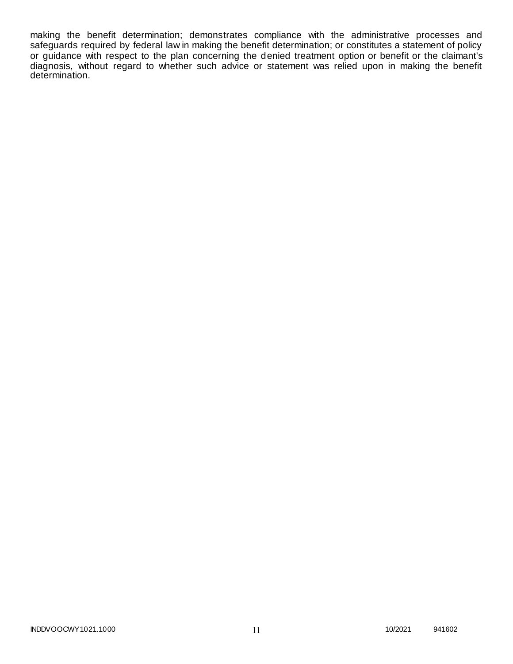making the benefit determination; demonstrates compliance with the administrative processes and safeguards required by federal law in making the benefit determination; or constitutes a statement of policy or guidance with respect to the plan concerning the denied treatment option or benefit or the claimant's diagnosis, without regard to whether such advice or statement was relied upon in making the benefit determination.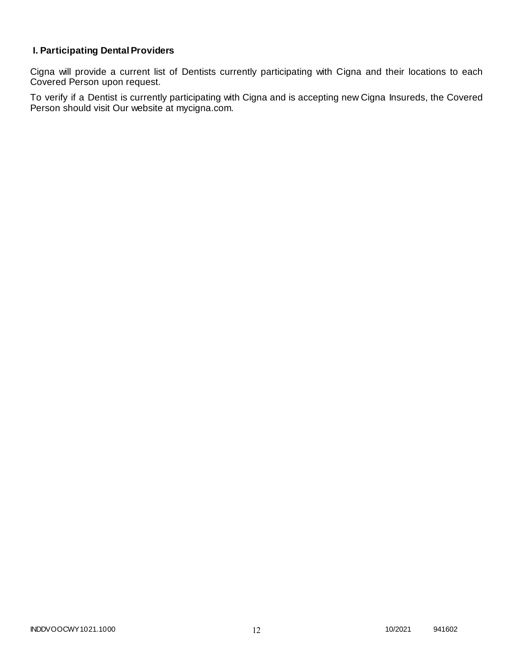# **I. Participating Dental Providers**

Cigna will provide a current list of Dentists currently participating with Cigna and their locations to each Covered Person upon request.

To verify if a Dentist is currently participating with Cigna and is accepting new Cigna Insureds, the Covered Person should visit Our website at mycigna.com.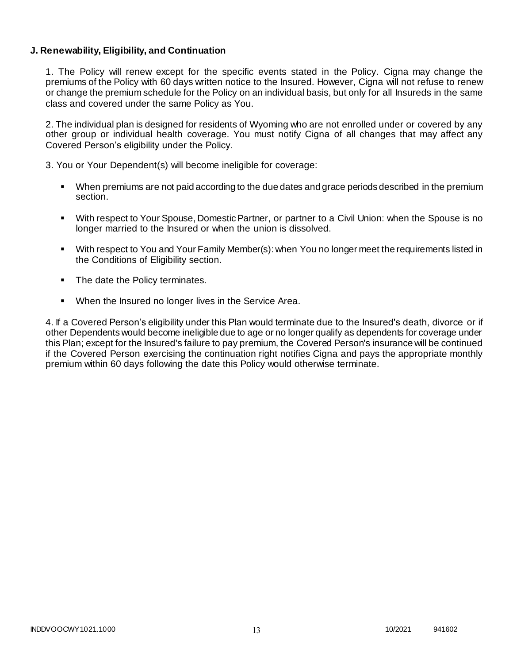### **J. Renewability, Eligibility, and Continuation**

1. The Policy will renew except for the specific events stated in the Policy. Cigna may change the premiums of the Policy with 60 days written notice to the Insured. However, Cigna will not refuse to renew or change the premium schedule for the Policy on an individual basis, but only for all Insureds in the same class and covered under the same Policy as You.

2. The individual plan is designed for residents of Wyoming who are not enrolled under or covered by any other group or individual health coverage. You must notify Cigna of all changes that may affect any Covered Person's eligibility under the Policy.

3. You or Your Dependent(s) will become ineligible for coverage:

- When premiums are not paid according to the due dates and grace periods described in the premium section.
- With respect to Your Spouse, Domestic Partner, or partner to a Civil Union: when the Spouse is no longer married to the Insured or when the union is dissolved.
- With respect to You and Your Family Member(s): when You no longer meet the requirements listed in the Conditions of Eligibility section.
- The date the Policy terminates.
- When the Insured no longer lives in the Service Area.

4. If a Covered Person's eligibility under this Plan would terminate due to the Insured's death, divorce or if other Dependents would become ineligible due to age or no longer qualify as dependents for coverage under this Plan; except for the Insured's failure to pay premium, the Covered Person's insurance will be continued if the Covered Person exercising the continuation right notifies Cigna and pays the appropriate monthly premium within 60 days following the date this Policy would otherwise terminate.